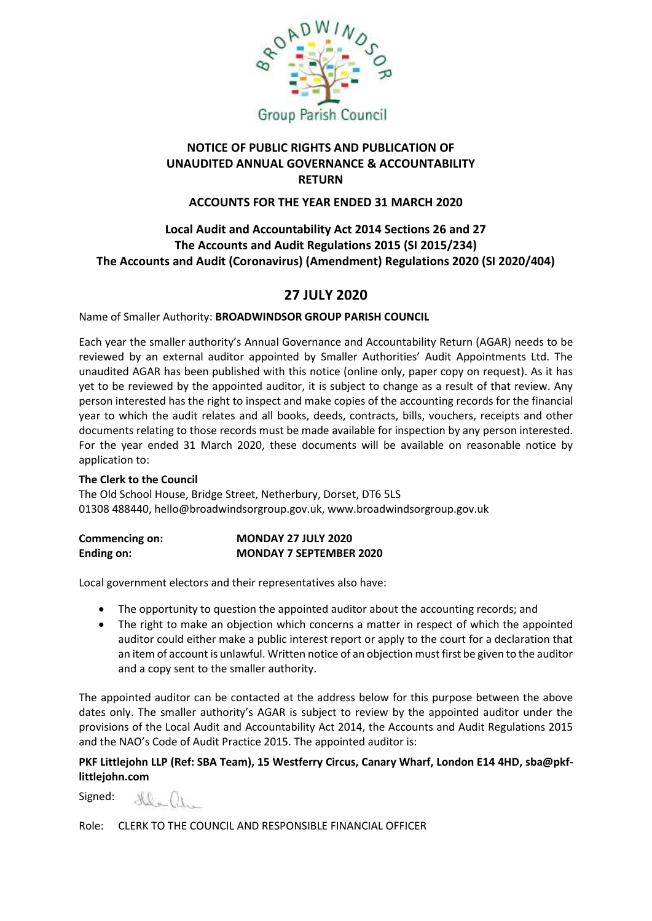

# **NOTICE OF PUBLIC RIGHTS AND PUBLICATION OF UNAUDITED ANNUAL GOVERNANCE & ACCOUNTABILITY RETURN**

#### **ACCOUNTS FOR THE YEAR ENDED 31 MARCH 2020**

# **Local Audit and Accountability Act 2014 Sections 26 and 27 The Accounts and Audit Regulations 2015 (SI 2015/234) The Accounts and Audit (Coronavirus) (Amendment) Regulations 2020 (SI 2020/404)**

# **27 JULY 2020**

Name of Smaller Authority: **BROADWINDSOR GROUP PARISH COUNCIL** 

Each year the smaller authority's Annual Governance and Accountability Return (AGAR) needs to be reviewed by an external auditor appointed by Smaller Authorities' Audit Appointments Ltd. The unaudited AGAR has been published with this notice (online only, paper copy on request). As it has yet to be reviewed by the appointed auditor, it is subject to change as a result of that review. Any person interested has the right to inspect and make copies of the accounting records for the financial year to which the audit relates and all books, deeds, contracts, bills, vouchers, receipts and other documents relating to those records must be made available for inspection by any person interested. For the year ended 31 March 2020, these documents will be available on reasonable notice by application to:

#### **The Clerk to the Council**

The Old School House, Bridge Street, Netherbury, Dorset, DT6 5LS 01308 488440, hello@broadwindsorgroup.gov.uk, www.broadwindsorgroup.gov.uk

| <b>Commencing on:</b> | <b>MONDAY 27 JULY 2020</b>     |
|-----------------------|--------------------------------|
| Ending on:            | <b>MONDAY 7 SEPTEMBER 2020</b> |

Local government electors and their representatives also have:

- The opportunity to question the appointed auditor about the accounting records; and
- The right to make an objection which concerns a matter in respect of which the appointed auditor could either make a public interest report or apply to the court for a declaration that an item of account is unlawful. Written notice of an objection must first be given to the auditor and a copy sent to the smaller authority.

The appointed auditor can be contacted at the address below for this purpose between the above dates only. The smaller authority's AGAR is subject to review by the appointed auditor under the provisions of the Local Audit and Accountability Act 2014, the Accounts and Audit Regulations 2015 and the NAO's Code of Audit Practice 2015. The appointed auditor is:

#### **PKF Littlejohn LLP (Ref: SBA Team), 15 Westferry Circus, Canary Wharf, London E14 4HD, sba@pkflittlejohn.com**

Signed:

 $\Omega = 226$ 

Role: CLERK TO THE COUNCIL AND RESPONSIBLE FINANCIAL OFFICER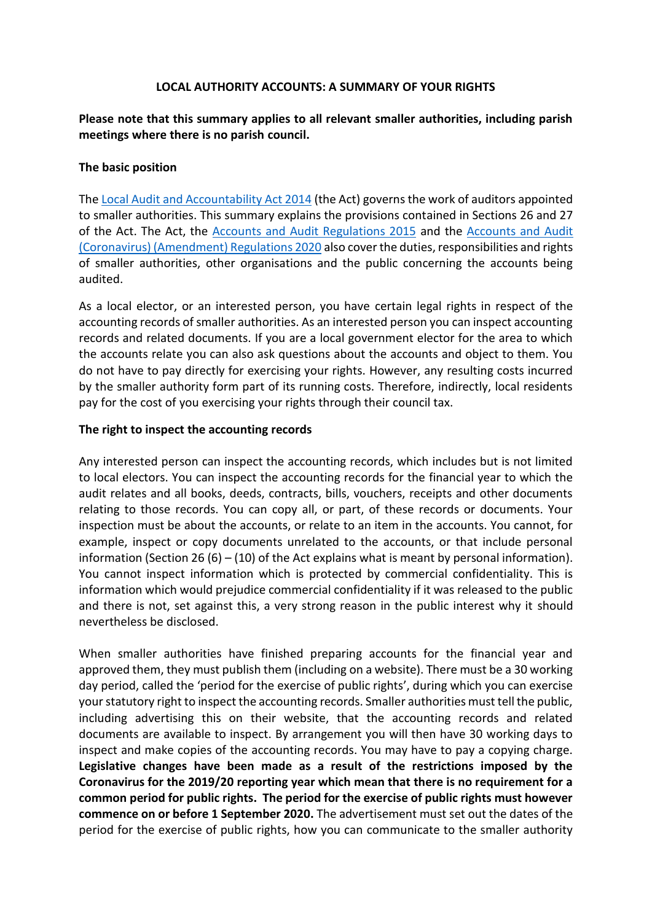#### **LOCAL AUTHORITY ACCOUNTS: A SUMMARY OF YOUR RIGHTS**

**Please note that this summary applies to all relevant smaller authorities, including parish meetings where there is no parish council.**

#### **The basic position**

Th[e Local Audit and Accountability Act 2014](http://www.legislation.gov.uk/ukpga/2014/2/contents) (the Act) governs the work of auditors appointed to smaller authorities. This summary explains the provisions contained in Sections 26 and 27 of the Act. The Act, the [Accounts and Audit Regulations 2015](http://www.legislation.gov.uk/uksi/2015/234/contents/made) and the [Accounts and Audit](http://www.legislation.gov.uk/uksi/2020/404/contents/made)  [\(Coronavirus\) \(Amendment\) Regulations 2020](http://www.legislation.gov.uk/uksi/2020/404/contents/made) also cover the duties, responsibilities and rights of smaller authorities, other organisations and the public concerning the accounts being audited.

As a local elector, or an interested person, you have certain legal rights in respect of the accounting records of smaller authorities. As an interested person you can inspect accounting records and related documents. If you are a local government elector for the area to which the accounts relate you can also ask questions about the accounts and object to them. You do not have to pay directly for exercising your rights. However, any resulting costs incurred by the smaller authority form part of its running costs. Therefore, indirectly, local residents pay for the cost of you exercising your rights through their council tax.

### **The right to inspect the accounting records**

Any interested person can inspect the accounting records, which includes but is not limited to local electors. You can inspect the accounting records for the financial year to which the audit relates and all books, deeds, contracts, bills, vouchers, receipts and other documents relating to those records. You can copy all, or part, of these records or documents. Your inspection must be about the accounts, or relate to an item in the accounts. You cannot, for example, inspect or copy documents unrelated to the accounts, or that include personal information (Section 26 (6) – (10) of the Act explains what is meant by personal information). You cannot inspect information which is protected by commercial confidentiality. This is information which would prejudice commercial confidentiality if it was released to the public and there is not, set against this, a very strong reason in the public interest why it should nevertheless be disclosed.

When smaller authorities have finished preparing accounts for the financial year and approved them, they must publish them (including on a website). There must be a 30 working day period, called the 'period for the exercise of public rights', during which you can exercise your statutory right to inspect the accounting records. Smaller authorities must tell the public, including advertising this on their website, that the accounting records and related documents are available to inspect. By arrangement you will then have 30 working days to inspect and make copies of the accounting records. You may have to pay a copying charge. **Legislative changes have been made as a result of the restrictions imposed by the Coronavirus for the 2019/20 reporting year which mean that there is no requirement for a common period for public rights. The period for the exercise of public rights must however commence on or before 1 September 2020.** The advertisement must set out the dates of the period for the exercise of public rights, how you can communicate to the smaller authority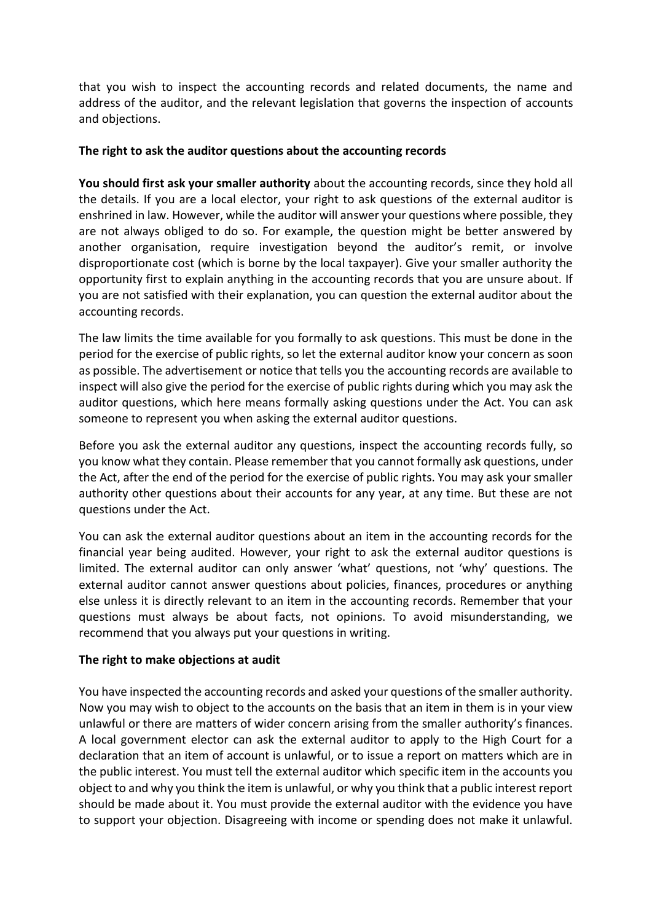that you wish to inspect the accounting records and related documents, the name and address of the auditor, and the relevant legislation that governs the inspection of accounts and objections.

### **The right to ask the auditor questions about the accounting records**

**You should first ask your smaller authority** about the accounting records, since they hold all the details. If you are a local elector, your right to ask questions of the external auditor is enshrined in law. However, while the auditor will answer your questions where possible, they are not always obliged to do so. For example, the question might be better answered by another organisation, require investigation beyond the auditor's remit, or involve disproportionate cost (which is borne by the local taxpayer). Give your smaller authority the opportunity first to explain anything in the accounting records that you are unsure about. If you are not satisfied with their explanation, you can question the external auditor about the accounting records.

The law limits the time available for you formally to ask questions. This must be done in the period for the exercise of public rights, so let the external auditor know your concern as soon as possible. The advertisement or notice that tells you the accounting records are available to inspect will also give the period for the exercise of public rights during which you may ask the auditor questions, which here means formally asking questions under the Act. You can ask someone to represent you when asking the external auditor questions.

Before you ask the external auditor any questions, inspect the accounting records fully, so you know what they contain. Please remember that you cannot formally ask questions, under the Act, after the end of the period for the exercise of public rights. You may ask your smaller authority other questions about their accounts for any year, at any time. But these are not questions under the Act.

You can ask the external auditor questions about an item in the accounting records for the financial year being audited. However, your right to ask the external auditor questions is limited. The external auditor can only answer 'what' questions, not 'why' questions. The external auditor cannot answer questions about policies, finances, procedures or anything else unless it is directly relevant to an item in the accounting records. Remember that your questions must always be about facts, not opinions. To avoid misunderstanding, we recommend that you always put your questions in writing.

# **The right to make objections at audit**

You have inspected the accounting records and asked your questions of the smaller authority. Now you may wish to object to the accounts on the basis that an item in them is in your view unlawful or there are matters of wider concern arising from the smaller authority's finances. A local government elector can ask the external auditor to apply to the High Court for a declaration that an item of account is unlawful, or to issue a report on matters which are in the public interest. You must tell the external auditor which specific item in the accounts you object to and why you think the item is unlawful, or why you think that a public interest report should be made about it. You must provide the external auditor with the evidence you have to support your objection. Disagreeing with income or spending does not make it unlawful.